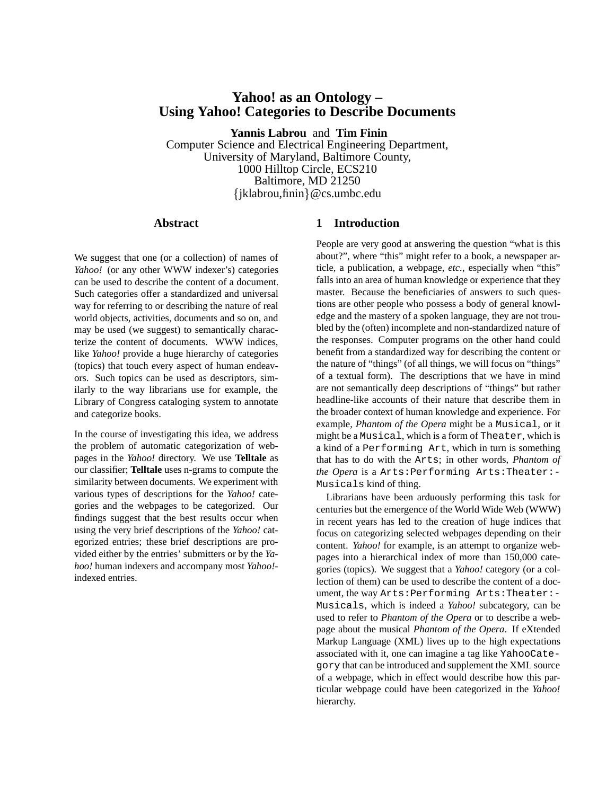## **Yahoo! as an Ontology – Using Yahoo! Categories to Describe Documents**

**Yannis Labrou** and **Tim Finin** Computer Science and Electrical Engineering Department, University of Maryland, Baltimore County, 1000 Hilltop Circle, ECS210 Baltimore, MD 21250  $\{jklabrou, finin\}$ @cs.umbc.edu

#### **Abstract**

We suggest that one (or a collection) of names of *Yahoo!* (or any other WWW indexer's) categories can be used to describe the content of a document. Such categories offer a standardized and universal way for referring to or describing the nature of real world objects, activities, documents and so on, and may be used (we suggest) to semantically characterize the content of documents. WWW indices, like *Yahoo!* provide a huge hierarchy of categories (topics) that touch every aspect of human endeavors. Such topics can be used as descriptors, similarly to the way librarians use for example, the Library of Congress cataloging system to annotate and categorize books.

In the course of investigating this idea, we address the problem of automatic categorization of webpages in the *Yahoo!* directory. We use **Telltale** as our classifier; **Telltale** uses n-grams to compute the similarity between documents. We experiment with various types of descriptions for the *Yahoo!* categories and the webpages to be categorized. Our findings suggest that the best results occur when using the very brief descriptions of the *Yahoo!* categorized entries; these brief descriptions are provided either by the entries' submitters or by the *Yahoo!* human indexers and accompany most *Yahoo!* indexed entries.

#### **1 Introduction**

People are very good at answering the question "what is this about?", where "this" might refer to a book, a newspaper article, a publication, a webpage, *etc.*, especially when "this" falls into an area of human knowledge or experience that they master. Because the beneficiaries of answers to such questions are other people who possess a body of general knowledge and the mastery of a spoken language, they are not troubled by the (often) incomplete and non-standardized nature of the responses. Computer programs on the other hand could benefit from a standardized way for describing the content or the nature of "things" (of all things, we will focus on "things" of a textual form). The descriptions that we have in mind are not semantically deep descriptions of "things" but rather headline-like accounts of their nature that describe them in the broader context of human knowledge and experience. For example, *Phantom of the Opera* might be a Musical, or it might be a Musical, which is a form of Theater, which is a kind of a Performing Art, which in turn is something that has to do with the Arts; in other words, *Phantom of the Opera* is a Arts:Performing Arts:Theater:- Musicals kind of thing.

Librarians have been arduously performing this task for centuries but the emergence of the World Wide Web (WWW) in recent years has led to the creation of huge indices that focus on categorizing selected webpages depending on their content. *Yahoo!* for example, is an attempt to organize webpages into a hierarchical index of more than 150,000 categories (topics). We suggest that a *Yahoo!* category (or a collection of them) can be used to describe the content of a document, the way Arts:Performing Arts:Theater:- Musicals, which is indeed a *Yahoo!* subcategory, can be used to refer to *Phantom of the Opera* or to describe a webpage about the musical *Phantom of the Opera*. If eXtended Markup Language (XML) lives up to the high expectations associated with it, one can imagine a tag like YahooCategory that can be introduced and supplement the XML source of a webpage, which in effect would describe how this particular webpage could have been categorized in the *Yahoo!* hierarchy.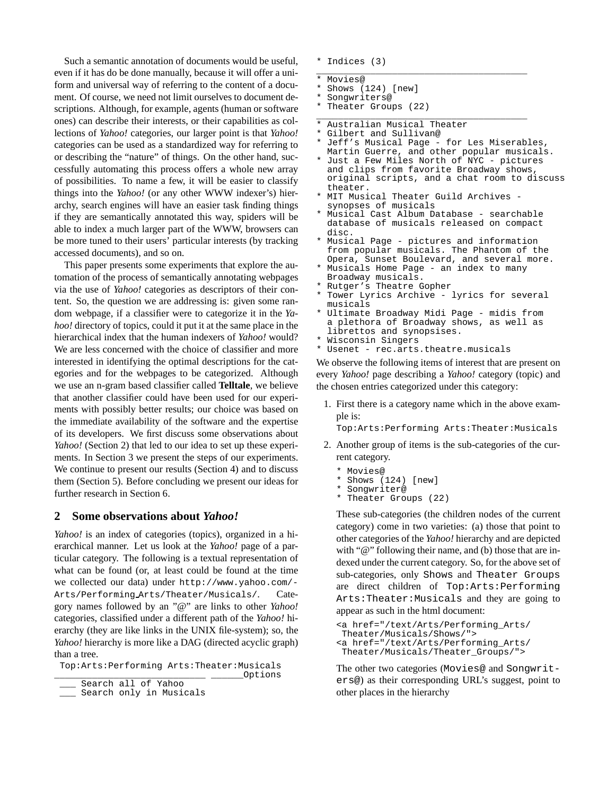Such a semantic annotation of documents would be useful, even if it has do be done manually, because it will offer a uniform and universal way of referring to the content of a document. Of course, we need not limit ourselves to document descriptions. Although, for example, agents (human or software ones) can describe their interests, or their capabilities as collections of *Yahoo!* categories, our larger point is that *Yahoo!* categories can be used as a standardized way for referring to or describing the "nature" of things. On the other hand, successfully automating this process offers a whole new array of possibilities. To name a few, it will be easier to classify things into the *Yahoo!* (or any other WWW indexer's) hierarchy, search engines will have an easier task finding things if they are semantically annotated this way, spiders will be able to index a much larger part of the WWW, browsers can be more tuned to their users' particular interests (by tracking accessed documents), and so on.

This paper presents some experiments that explore the automation of the process of semantically annotating webpages via the use of *Yahoo!* categories as descriptors of their content. So, the question we are addressing is: given some random webpage, if a classifier were to categorize it in the *Yahoo!* directory of topics, could it put it at the same place in the hierarchical index that the human indexers of *Yahoo!* would? We are less concerned with the choice of classifier and more interested in identifying the optimal descriptions for the categories and for the webpages to be categorized. Although we use an n-gram based classifier called **Telltale**, we believe that another classifier could have been used for our experiments with possibly better results; our choice was based on the immediate availability of the software and the expertise of its developers. We first discuss some observations about *Yahoo!* (Section 2) that led to our idea to set up these experiments. In Section 3 we present the steps of our experiments. We continue to present our results (Section 4) and to discuss them (Section 5). Before concluding we present our ideas for further research in Section 6.

#### **2 Some observations about** *Yahoo!*

*Yahoo!* is an index of categories (topics), organized in a hierarchical manner. Let us look at the *Yahoo!* page of a particular category. The following is a textual representation of what can be found (or, at least could be found at the time we collected our data) under http://www.yahoo.com/- Arts/Performing Arts/Theater/Musicals/. Category names followed by an "@" are links to other *Yahoo!* categories, classified under a different path of the *Yahoo!* hierarchy (they are like links in the UNIX file-system); so, the *Yahoo!* hierarchy is more like a DAG (directed acyclic graph) than a tree.

Top:Arts:Performing Arts:Theater:Musicals \_\_\_\_\_\_\_\_\_\_\_\_\_\_\_\_\_\_\_\_\_\_\_\_\_\_\_\_ \_\_\_\_\_\_Options

```
Search all of Yahoo
```
Search only in Musicals

- \* Indices (3)
- \_\_\_\_\_\_\_\_\_\_\_\_\_\_\_\_\_\_\_\_\_\_\_\_\_\_\_\_\_\_\_\_\_\_\_\_\_\_\_ \* Movies@
- \* Shows  $(124)$  [new]<br>\* Songwriters@
- \* Songwriters@ Theater Groups (22)
- \_\_\_\_\_\_\_\_\_\_\_\_\_\_\_\_\_\_\_\_\_\_\_\_\_\_\_\_\_\_\_\_\_\_\_\_\_\_\_

# \* Australian Musical Theater

- \* Gilbert and Sullivan@
- Jeff's Musical Page for Les Miserables, Martin Guerre, and other popular musicals.
- \* Just a Few Miles North of NYC pictures and clips from favorite Broadway shows, original scripts, and a chat room to discuss theater.
- MIT Musical Theater Guild Archives synopses of musicals
- \* Musical Cast Album Database searchable database of musicals released on compact disc.
- \* Musical Page pictures and information from popular musicals. The Phantom of the Opera, Sunset Boulevard, and several more.
- Musicals Home Page an index to many Broadway musicals.
- Rutger's Theatre Gopher
- \* Tower Lyrics Archive lyrics for several musicals
- Ultimate Broadway Midi Page midis from a plethora of Broadway shows, as well as librettos and synopsises.
- \* Wisconsin Singers
- Usenet rec.arts.theatre.musicals

We observe the following items of interest that are present on every *Yahoo!* page describing a *Yahoo!* category (topic) and the chosen entries categorized under this category:

1. First there is a category name which in the above example is:

Top:Arts:Performing Arts:Theater:Musicals

- 2. Another group of items is the sub-categories of the current category.
	- \* Movies@
	- Shows (124) [new]
	- Songwriter@
	- Theater Groups (22)

These sub-categories (the children nodes of the current category) come in two varieties: (a) those that point to other categories of the *Yahoo!* hierarchy and are depicted with "@" following their name, and (b) those that are indexed under the current category. So, for the above set of sub-categories, only Shows and Theater Groups are direct children of Top:Arts:Performing Arts:Theater:Musicals and they are going to appear as such in the html document:

```
<a href="/text/Arts/Performing_Arts/
Theater/Musicals/Shows/">
<a href="/text/Arts/Performing_Arts/
Theater/Musicals/Theater_Groups/">
```
The other two categories (Movies@ and Songwriters@) as their corresponding URL's suggest, point to other places in the hierarchy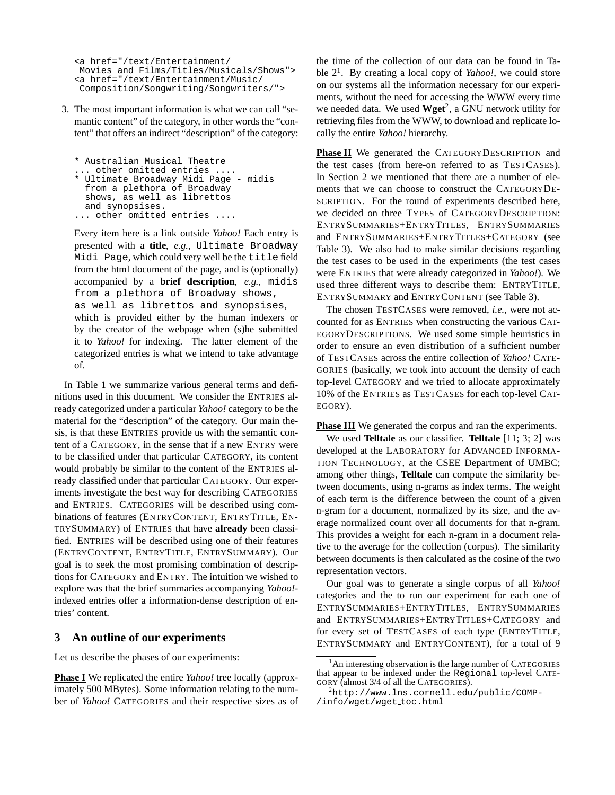```
<a href="/text/Entertainment/
Movies_and_Films/Titles/Musicals/Shows">
<a href="/text/Entertainment/Music/
Composition/Songwriting/Songwriters/">
```
3. The most important information is what we can call "semantic content" of the category, in other words the "content" that offers an indirect "description" of the category:

```
* Australian Musical Theatre
... other omitted entries ....
* Ultimate Broadway Midi Page - midis
 from a plethora of Broadway
  shows, as well as librettos
  and synopsises.
... other omitted entries ....
```
Every item here is a link outside *Yahoo!* Each entry is presented with a **title**, *e.g.*, Ultimate Broadway Midi Page, which could very well be the title field from the html document of the page, and is (optionally) accompanied by a **brief description**, *e.g.*, midis from a plethora of Broadway shows, as well as librettos and synopsises, which is provided either by the human indexers or by the creator of the webpage when (s)he submitted it to *Yahoo!* for indexing. The latter element of the categorized entries is what we intend to take advantage of.

In Table 1 we summarize various general terms and definitions used in this document. We consider the ENTRIES already categorized under a particular *Yahoo!* category to be the material for the "description" of the category. Our main thesis, is that these ENTRIES provide us with the semantic content of a CATEGORY, in the sense that if a new ENTRY were to be classified under that particular CATEGORY, its content would probably be similar to the content of the ENTRIES already classified under that particular CATEGORY. Our experiments investigate the best way for describing CATEGORIES and ENTRIES. CATEGORIES will be described using combinations of features (ENTRYCONTENT, ENTRYTITLE, EN-TRYSUMMARY) of ENTRIES that have **already** been classified. ENTRIES will be described using one of their features (ENTRYCONTENT, ENTRYTITLE, ENTRYSUMMARY). Our goal is to seek the most promising combination of descriptions for CATEGORY and ENTRY. The intuition we wished to explore was that the brief summaries accompanying *Yahoo!* indexed entries offer a information-dense description of entries' content.

#### **3 An outline of our experiments**

Let us describe the phases of our experiments:

**Phase I** We replicated the entire *Yahoo!* tree locally (approximately 500 MBytes). Some information relating to the number of *Yahoo!* CATEGORIES and their respective sizes as of the time of the collection of our data can be found in Table  $2^1$ . By creating a local copy of *Yahoo!*, we could store on our systems all the information necessary for our experiments, without the need for accessing the WWW every time we needed data. We used **Wget**2, a GNU network utility for retrieving files from the WWW, to download and replicate locally the entire *Yahoo!* hierarchy.

Phase II We generated the CATEGORYDESCRIPTION and the test cases (from here-on referred to as TESTCASES). In Section 2 we mentioned that there are a number of elements that we can choose to construct the CATEGORYDE-SCRIPTION. For the round of experiments described here, we decided on three TYPES of CATEGORYDESCRIPTION: ENTRYSUMMARIES+ENTRYTITLES, ENTRYSUMMARIES and ENTRYSUMMARIES+ENTRYTITLES+CATEGORY (see Table 3). We also had to make similar decisions regarding the test cases to be used in the experiments (the test cases were ENTRIES that were already categorized in *Yahoo!*). We used three different ways to describe them: ENTRYTITLE, ENTRYSUMMARY and ENTRYCONTENT (see Table 3).

The chosen TESTCASES were removed, *i.e.*, were not accounted for as ENTRIES when constructing the various CAT-EGORYDESCRIPTIONS. We used some simple heuristics in order to ensure an even distribution of a sufficient number of TESTCASES across the entire collection of *Yahoo!* CATE-GORIES (basically, we took into account the density of each top-level CATEGORY and we tried to allocate approximately 10% of the ENTRIES as TESTCASES for each top-level CAT-EGORY).

**Phase III** We generated the corpus and ran the experiments.

We used **Telltale** as our classifier. **Telltale** [11; 3; 2] was developed at the LABORATORY for ADVANCED INFORMA-TION TECHNOLOGY, at the CSEE Department of UMBC; among other things, **Telltale** can compute the similarity between documents, using n-grams as index terms. The weight of each term is the difference between the count of a given n-gram for a document, normalized by its size, and the average normalized count over all documents for that n-gram. This provides a weight for each n-gram in a document relative to the average for the collection (corpus). The similarity between documents is then calculated as the cosine of the two representation vectors.

Our goal was to generate a single corpus of all *Yahoo!* categories and the to run our experiment for each one of ENTRYSUMMARIES+ENTRYTITLES, ENTRYSUMMARIES and ENTRYSUMMARIES+ENTRYTITLES+CATEGORY and for every set of TESTCASES of each type (ENTRYTITLE, ENTRYSUMMARY and ENTRYCONTENT), for a total of 9

<sup>&</sup>lt;sup>1</sup>An interesting observation is the large number of CATEGORIES that appear to be indexed under the Regional top-level CATE-GORY (almost 3/4 of all the CATEGORIES).

<sup>2</sup> http://www.lns.cornell.edu/public/COMP- /info/wget/wget toc.html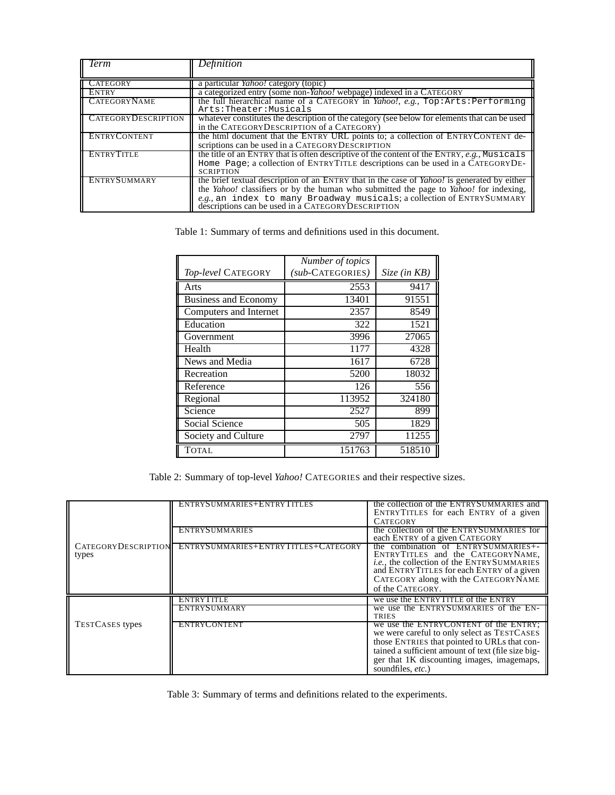| $\blacksquare$ Term        | Definition                                                                                                                                                                                                                                                                                                                               |
|----------------------------|------------------------------------------------------------------------------------------------------------------------------------------------------------------------------------------------------------------------------------------------------------------------------------------------------------------------------------------|
| <b>CATEGORY</b>            | a particular <i>Yahoo!</i> category (topic)                                                                                                                                                                                                                                                                                              |
| <b>ENTRY</b>               | a categorized entry (some non-Yahoo! webpage) indexed in a CATEGORY                                                                                                                                                                                                                                                                      |
| <b>CATEGORYNAME</b>        | the full hierarchical name of a CATEGORY in <i>Yahoo!</i> , e.g., Top: Arts: Performing<br>Arts: Theater: Musicals                                                                                                                                                                                                                       |
| <b>CATEGORYDESCRIPTION</b> | whatever constitutes the description of the category (see below for elements that can be used<br>in the CATEGORY DESCRIPTION of a CATEGORY)                                                                                                                                                                                              |
| <b>ENTRYCONTENT</b>        | the html document that the ENTRY URL points to; a collection of ENTRY CONTENT de-<br>scriptions can be used in a CATEGORYDESCRIPTION                                                                                                                                                                                                     |
| <b>ENTRYTITLE</b>          | the title of an ENTRY that is often descriptive of the content of the ENTRY, e.g., Musicals<br>Home Page; a collection of ENTRYTITLE descriptions can be used in a CATEGORYDE-<br><b>SCRIPTION</b>                                                                                                                                       |
| ENTRYSUMMARY               | the brief textual description of an ENTRY that in the case of <i>Yahoo!</i> is generated by either<br>the <i>Yahoo!</i> classifiers or by the human who submitted the page to <i>Yahoo!</i> for indexing,<br>e.g., an index to many Broadway musicals; a collection of ENTRYSUMMARY<br>descriptions can be used in a CATEGORYDESCRIPTION |

Table 1: Summary of terms and definitions used in this document.

|                             | Number of topics   |              |
|-----------------------------|--------------------|--------------|
| Top-level CATEGORY          | $(sub-CATEGORIES)$ | Size (in KB) |
| Arts                        | 2553               | 9417         |
| <b>Business and Economy</b> | 13401              | 91551        |
| Computers and Internet      | 2357               | 8549         |
| Education                   | 322                | 1521         |
| Government                  | 3996               | 27065        |
| Health                      | 1177               | 4328         |
| News and Media              | 1617               | 6728         |
| Recreation                  | 5200               | 18032        |
| Reference                   | 126                | 556          |
| Regional                    | 113952             | 324180       |
| Science                     | 2527               | 899          |
| Social Science              | 505                | 1829         |
| Society and Culture         | 2797               | 11255        |
| <b>TOTAL</b>                | 151763             | 518510       |

Table 2: Summary of top-level *Yahoo!* CATEGORIES and their respective sizes.

|                        | ENTRYSUMMARIES+ENTRYTITLES                                | the collection of the ENTRYSUMMARIES and<br>ENTRYTITLES for each ENTRY of a given<br><b>CATEGORY</b>                                                                                                                                                          |
|------------------------|-----------------------------------------------------------|---------------------------------------------------------------------------------------------------------------------------------------------------------------------------------------------------------------------------------------------------------------|
|                        | <b>ENTRYSUMMARIES</b>                                     | the collection of the ENTRYSUMMARIES for<br>each ENTRY of a given CATEGORY                                                                                                                                                                                    |
| types                  | CATEGORY DESCRIPTION ENTRYSUMMARIES+ENTRY TITLES+CATEGORY | the combination of ENTRYSUMMARIES+-<br>ENTRYTITLES and the CATEGORYNAME,<br>i.e., the collection of the ENTRYSUMMARIES<br>and ENTRYTITLES for each ENTRY of a given<br>CATEGORY along with the CATEGORYNAME<br>of the CATEGORY.                               |
|                        | <b>ENTRYTITLE</b>                                         | we use the ENTRYTITLE of the ENTRY                                                                                                                                                                                                                            |
|                        | <b>ENTRYSUMMARY</b>                                       | we use the ENTRYSUMMARIES of the EN-<br><b>TRIES</b>                                                                                                                                                                                                          |
| <b>TESTCASES</b> types | <b>ENTRYCONTENT</b>                                       | we use the ENTRYCONTENT of the ENTRY;<br>we were careful to only select as TESTCASES<br>those ENTRIES that pointed to URLs that con-<br>tained a sufficient amount of text (file size big-<br>ger that 1K discounting images, imagemaps,<br>soundfiles, etc.) |

Table 3: Summary of terms and definitions related to the experiments.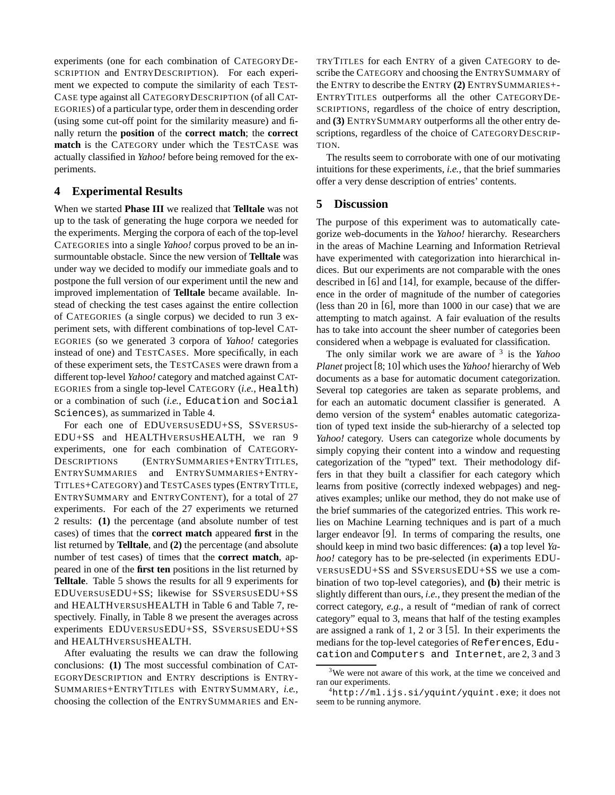experiments (one for each combination of CATEGORYDE-SCRIPTION and ENTRYDESCRIPTION). For each experiment we expected to compute the similarity of each TEST-CASE type against all CATEGORYDESCRIPTION (of all CAT-EGORIES) of a particular type, order them in descending order (using some cut-off point for the similarity measure) and finally return the **position** of the **correct match**; the **correct match** is the CATEGORY under which the TESTCASE was actually classified in *Yahoo!* before being removed for the experiments.

## **4 Experimental Results**

When we started **Phase III** we realized that **Telltale** was not up to the task of generating the huge corpora we needed for the experiments. Merging the corpora of each of the top-level CATEGORIES into a single *Yahoo!* corpus proved to be an insurmountable obstacle. Since the new version of **Telltale** was under way we decided to modify our immediate goals and to postpone the full version of our experiment until the new and improved implementation of **Telltale** became available. Instead of checking the test cases against the entire collection of CATEGORIES (a single corpus) we decided to run 3 experiment sets, with different combinations of top-level CAT-EGORIES (so we generated 3 corpora of *Yahoo!* categories instead of one) and TESTCASES. More specifically, in each of these experiment sets, the TESTCASES were drawn from a different top-level *Yahoo!* category and matched against CAT-EGORIES from a single top-level CATEGORY (*i.e.*, Health) or a combination of such (*i.e.*, Education and Social Sciences), as summarized in Table 4.

For each one of EDUVERSUSEDU+SS, SSVERSUS-EDU+SS and HEALTHVERSUSHEALTH, we ran 9 experiments, one for each combination of CATEGORY-DESCRIPTIONS (ENTRYSUMMARIES+ENTRYTITLES, ENTRYSUMMARIES and ENTRYSUMMARIES+ENTRY-TITLES+CATEGORY) and TESTCASES types (ENTRYTITLE, ENTRYSUMMARY and ENTRYCONTENT), for a total of 27 experiments. For each of the 27 experiments we returned 2 results: **(1)** the percentage (and absolute number of test cases) of times that the **correct match** appeared **first** in the list returned by **Telltale**, and **(2)** the percentage (and absolute number of test cases) of times that the **correct match**, appeared in one of the **first ten** positions in the list returned by **Telltale**. Table 5 shows the results for all 9 experiments for EDUVERSUSEDU+SS; likewise for SSVERSUSEDU+SS and HEALTHVERSUSHEALTH in Table 6 and Table 7, respectively. Finally, in Table 8 we present the averages across experiments EDUVERSUSEDU+SS, SSVERSUSEDU+SS and HEALTHVERSUSHEALTH.

After evaluating the results we can draw the following conclusions: **(1)** The most successful combination of CAT-EGORYDESCRIPTION and ENTRY descriptions is ENTRY-SUMMARIES+ENTRYTITLES with ENTRYSUMMARY, *i.e.*, choosing the collection of the ENTRYSUMMARIES and EN- TRYTITLES for each ENTRY of a given CATEGORY to describe the CATEGORY and choosing the ENTRYSUMMARY of the ENTRY to describe the ENTRY **(2)** ENTRYSUMMARIES+- ENTRYTITLES outperforms all the other CATEGORYDE-SCRIPTIONS, regardless of the choice of entry description, and **(3)** ENTRYSUMMARY outperforms all the other entry descriptions, regardless of the choice of CATEGORYDESCRIP-TION.

The results seem to corroborate with one of our motivating intuitions for these experiments, *i.e.*, that the brief summaries offer a very dense description of entries' contents.

## **5 Discussion**

The purpose of this experiment was to automatically categorize web-documents in the *Yahoo!* hierarchy. Researchers in the areas of Machine Learning and Information Retrieval have experimented with categorization into hierarchical indices. But our experiments are not comparable with the ones described in [6] and [14], for example, because of the difference in the order of magnitude of the number of categories (less than 20 in [6], more than 1000 in our case) that we are attempting to match against. A fair evaluation of the results has to take into account the sheer number of categories been considered when a webpage is evaluated for classification.

The only similar work we are aware of <sup>3</sup> is the *Yahoo Planet* project [8; 10] which uses the *Yahoo!* hierarchy of Web documents as a base for automatic document categorization. Several top categories are taken as separate problems, and for each an automatic document classifier is generated. A demo version of the system<sup>4</sup> enables automatic categorization of typed text inside the sub-hierarchy of a selected top *Yahoo!* category. Users can categorize whole documents by simply copying their content into a window and requesting categorization of the "typed" text. Their methodology differs in that they built a classifier for each category which learns from positive (correctly indexed webpages) and negatives examples; unlike our method, they do not make use of the brief summaries of the categorized entries. This work relies on Machine Learning techniques and is part of a much larger endeavor [9]. In terms of comparing the results, one should keep in mind two basic differences: **(a)** a top level *Yahoo!* category has to be pre-selected (in experiments EDU-VERSUSEDU+SS and SSVERSUSEDU+SS we use a combination of two top-level categories), and **(b)** their metric is slightly different than ours, *i.e.*, they present the median of the correct category, *e.g.*, a result of "median of rank of correct category" equal to 3, means that half of the testing examples are assigned a rank of 1, 2 or 3 [5]. In their experiments the medians for the top-level categories of References, Education and Computers and Internet, are 2, 3 and 3

<sup>&</sup>lt;sup>3</sup>We were not aware of this work, at the time we conceived and ran our experiments.

<sup>4</sup> http://ml.ijs.si/yquint/yquint.exe; it does not seem to be running anymore.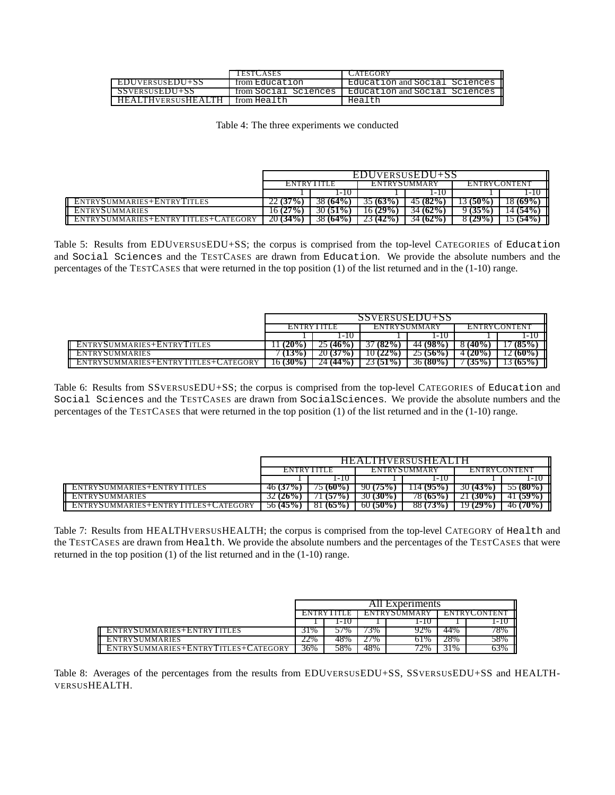|                            | TESTCASES            | <b>CATEGORY</b>               |
|----------------------------|----------------------|-------------------------------|
| EDUVERSUSEDU+SS            | from Education       | Education and Social Sciences |
| SSVERSUSEDU+SS             | from Social Sciences | Education and Social Sciences |
| <b>THEALTHVERSUSHEALTH</b> | l from Health        | Health                        |

Table 4: The three experiments we conducted

|                                     | EDUVERSUSEDU+SS |            |              |            |                     |          |  |
|-------------------------------------|-----------------|------------|--------------|------------|---------------------|----------|--|
|                                     | ENTRYTITLE      |            | ENTRYSUMMARY |            | <b>ENTRYCONTENT</b> |          |  |
|                                     |                 | l – I O    |              | 1-10       |                     | -10      |  |
| ENTRYSUMMARIES+ENTRYTITLES          | 22 (37%         | 38 (64%)   | $35(63\%)$   | $45(82\%)$ | $(50\%)$            | $(69\%)$ |  |
| <b>ENTRYSUMMARIES</b>               | 16 (27%)        | $30(51\%)$ | 16(29%)      | $34(62\%)$ | $(35\%)$            | (54%     |  |
| ENTRYSUMMARIES+ENTRYTITLES+CATEGORY | 20(34%          | $(64\%)$   | (42%<br>23   | $34(62\%)$ | $\degree$ (29%).    | (54%     |  |

Table 5: Results from EDUVERSUSEDU+SS; the corpus is comprised from the top-level CATEGORIES of Education and Social Sciences and the TESTCASES are drawn from Education. We provide the absolute numbers and the percentages of the TESTCASES that were returned in the top position (1) of the list returned and in the (1-10) range.

|                                     | SSVERSUSEDU+SS |                   |              |               |                     |           |
|-------------------------------------|----------------|-------------------|--------------|---------------|---------------------|-----------|
|                                     |                | <b>ENTRYTITLE</b> | ENTRYSUMMARY |               | <b>ENTRYCONTENT</b> |           |
|                                     | -10            |                   |              | 1-10          |                     | I – I O   |
| IL ENTRYSUMMARIES+ENTRYTITLES       | $(20\%$        | 25(46%)           | (82%)        | 44 (98%)      | $8(40\%)$           | $(85\%)$  |
| ENTRYSUMMARIES                      | (13%)          | 20(37%)           | 10(22%)      | $^{75}$ (56%) | 4(20%)              | $2(60\%)$ |
| ENTRYSUMMARIES+ENTRYTITLES+CATEGORY | 16 (30%)       | 24 (44%)          | 23 (51%)     | $36(80\%)$    | (35%)               | 3(65%)    |

Table 6: Results from SSVERSUSEDU+SS; the corpus is comprised from the top-level CATEGORIES of Education and Social Sciences and the TESTCASES are drawn from SocialSciences. We provide the absolute numbers and the percentages of the TESTCASES that were returned in the top position (1) of the list returned and in the (1-10) range.

|                                      | <b>HEALTHVERSUSHEALTH</b> |               |                     |          |                     |            |
|--------------------------------------|---------------------------|---------------|---------------------|----------|---------------------|------------|
|                                      | <b>ENTRYTITLE</b>         |               | <b>ENTRYSUMMARY</b> |          | <b>ENTRYCONTENT</b> |            |
|                                      |                           | I – I O       |                     | 1-10     |                     | -10        |
| <b>II ENTRYSUMMARIES+ENTRYTITLES</b> | 46(37%)                   | $^{75}(60\%)$ | 90(75%)             | 114(95%) | (43%                | $(80\%$    |
| ENTRYSUMMARIES                       | 32(26%)                   | $(57\%)$      | $30(30\%)$          | 78 (65%) | $.30\%$             | (59%<br>41 |
| ENTRYSUMMARIES+ENTRYTITLES+CATEGORY  | 56 (45%)                  | $(65\%)$      | $60(50\%)$          | 88 (73%) | 19(29%)             | $46(70\%)$ |

Table 7: Results from HEALTHVERSUSHEALTH; the corpus is comprised from the top-level CATEGORY of Health and the TESTCASES are drawn from Health. We provide the absolute numbers and the percentages of the TESTCASES that were returned in the top position (1) of the list returned and in the (1-10) range.

|                                            | All Experiments                                   |       |       |         |       |      |
|--------------------------------------------|---------------------------------------------------|-------|-------|---------|-------|------|
|                                            | ENTRYSUMMARY<br>ENTRYCONTENT<br><b>ENTRYTITLE</b> |       |       |         |       |      |
|                                            |                                                   | - 1 0 |       | 1 – I V |       | 1-10 |
| ENTRYSUMMARIES+ENTRYTITLES                 | $1\%$                                             | $7\%$ | 73%   | 92%     | 44%   | 78%  |
| II ENTRYSUMMARIES                          | $-2\%$                                            | 48%   | $7\%$ | 61%     | 28%   | 58%  |
| <b>ENTRYSUMMARIES+ENTRYTITLES+CATEGORY</b> | 36%                                               | 58%   | 48%   | 2%      | $1\%$ | 63%  |

Table 8: Averages of the percentages from the results from EDUVERSUSEDU+SS, SSVERSUSEDU+SS and HEALTH-VERSUSHEALTH.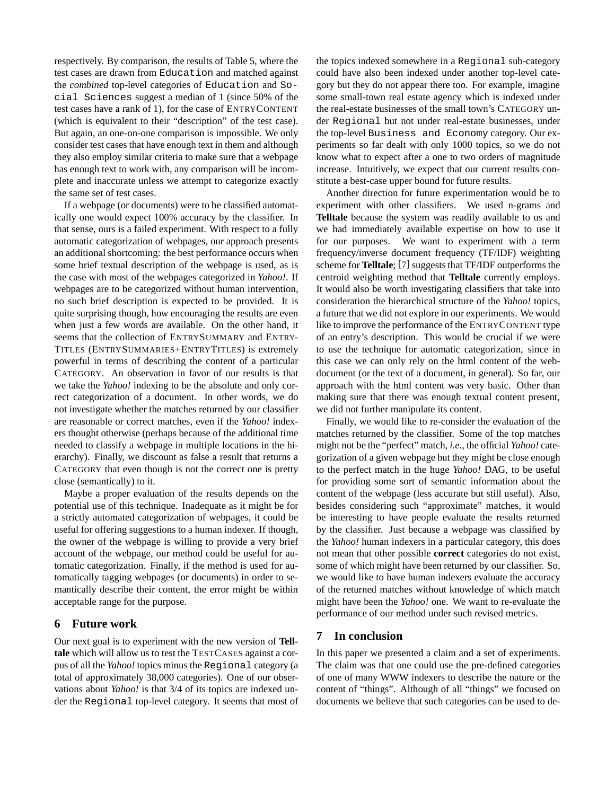respectively. By comparison, the results of Table 5, where the test cases are drawn from Education and matched against the *combined* top-level categories of Education and Social Sciences suggest a median of 1 (since 50% of the test cases have a rank of 1), for the case of ENTRYCONTENT (which is equivalent to their "description" of the test case). But again, an one-on-one comparison is impossible. We only consider test cases that have enough text in them and although they also employ similar criteria to make sure that a webpage has enough text to work with, any comparison will be incomplete and inaccurate unless we attempt to categorize exactly the same set of test cases.

If a webpage (or documents) were to be classified automatically one would expect 100% accuracy by the classifier. In that sense, ours is a failed experiment. With respect to a fully automatic categorization of webpages, our approach presents an additional shortcoming: the best performance occurs when some brief textual description of the webpage is used, as is the case with most of the webpages categorized in *Yahoo!*. If webpages are to be categorized without human intervention, no such brief description is expected to be provided. It is quite surprising though, how encouraging the results are even when just a few words are available. On the other hand, it seems that the collection of ENTRYSUMMARY and ENTRY-TITLES (ENTRYSUMMARIES+ENTRYTITLES) is extremely powerful in terms of describing the content of a particular CATEGORY. An observation in favor of our results is that we take the *Yahoo!* indexing to be the absolute and only correct categorization of a document. In other words, we do not investigate whether the matches returned by our classifier are reasonable or correct matches, even if the *Yahoo!* indexers thought otherwise (perhaps because of the additional time needed to classify a webpage in multiple locations in the hierarchy). Finally, we discount as false a result that returns a CATEGORY that even though is not the correct one is pretty close (semantically) to it.

Maybe a proper evaluation of the results depends on the potential use of this technique. Inadequate as it might be for a strictly automated categorization of webpages, it could be useful for offering suggestions to a human indexer. If though, the owner of the webpage is willing to provide a very brief account of the webpage, our method could be useful for automatic categorization. Finally, if the method is used for automatically tagging webpages (or documents) in order to semantically describe their content, the error might be within acceptable range for the purpose.

## **6 Future work**

Our next goal is to experiment with the new version of **Telltale** which will allow us to test the TESTCASES against a corpus of all the *Yahoo!* topics minus the Regional category (a total of approximately 38,000 categories). One of our observations about *Yahoo!* is that 3/4 of its topics are indexed under the Regional top-level category. It seems that most of the topics indexed somewhere in a Regional sub-category could have also been indexed under another top-level category but they do not appear there too. For example, imagine some small-town real estate agency which is indexed under the real-estate businesses of the small town's CATEGORY under Regional but not under real-estate businesses, under the top-level Business and Economy category. Our experiments so far dealt with only 1000 topics, so we do not know what to expect after a one to two orders of magnitude increase. Intuitively, we expect that our current results constitute a best-case upper bound for future results.

Another direction for future experimentation would be to experiment with other classifiers. We used n-grams and **Telltale** because the system was readily available to us and we had immediately available expertise on how to use it for our purposes. We want to experiment with a term frequency/inverse document frequency (TF/IDF) weighting scheme for **Telltale**; [7] suggests that TF/IDF outperforms the centroid weighting method that **Telltale** currently employs. It would also be worth investigating classifiers that take into consideration the hierarchical structure of the *Yahoo!* topics, a future that we did not explore in our experiments. We would like to improve the performance of the ENTRYCONTENT type of an entry's description. This would be crucial if we were to use the technique for automatic categorization, since in this case we can only rely on the html content of the webdocument (or the text of a document, in general). So far, our approach with the html content was very basic. Other than making sure that there was enough textual content present, we did not further manipulate its content.

Finally, we would like to re-consider the evaluation of the matches returned by the classifier. Some of the top matches might not be the "perfect" match, *i.e.*, the official *Yahoo!* categorization of a given webpage but they might be close enough to the perfect match in the huge *Yahoo!* DAG, to be useful for providing some sort of semantic information about the content of the webpage (less accurate but still useful). Also, besides considering such "approximate" matches, it would be interesting to have people evaluate the results returned by the classifier. Just because a webpage was classified by the *Yahoo!* human indexers in a particular category, this does not mean that other possible **correct** categories do not exist, some of which might have been returned by our classifier. So, we would like to have human indexers evaluate the accuracy of the returned matches without knowledge of which match might have been the *Yahoo!* one. We want to re-evaluate the performance of our method under such revised metrics.

#### **7 In conclusion**

In this paper we presented a claim and a set of experiments. The claim was that one could use the pre-defined categories of one of many WWW indexers to describe the nature or the content of "things". Although of all "things" we focused on documents we believe that such categories can be used to de